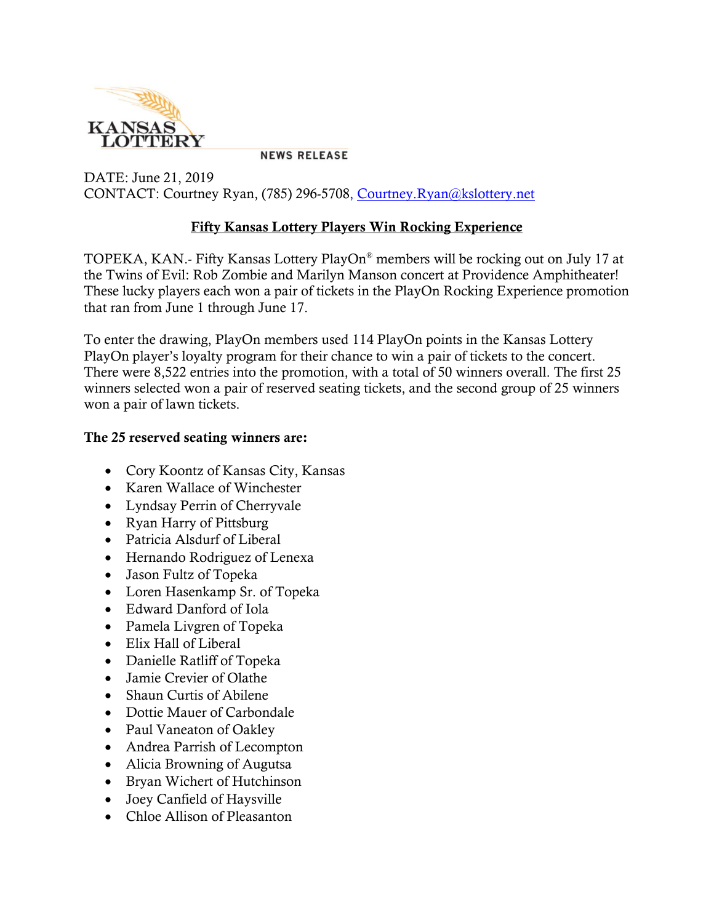

**NEWS RELEASE** 

DATE: June 21, 2019 CONTACT: Courtney Ryan, (785) 296-5708, [Courtney.Ryan@kslottery.net](mailto:Courtney.Ryan@kslottery.net)

## Fifty Kansas Lottery Players Win Rocking Experience

TOPEKA, KAN.- Fifty Kansas Lottery PlayOn® members will be rocking out on July 17 at the Twins of Evil: Rob Zombie and Marilyn Manson concert at Providence Amphitheater! These lucky players each won a pair of tickets in the PlayOn Rocking Experience promotion that ran from June 1 through June 17.

To enter the drawing, PlayOn members used 114 PlayOn points in the Kansas Lottery PlayOn player's loyalty program for their chance to win a pair of tickets to the concert. There were 8,522 entries into the promotion, with a total of 50 winners overall. The first 25 winners selected won a pair of reserved seating tickets, and the second group of 25 winners won a pair of lawn tickets.

## The 25 reserved seating winners are:

- Cory Koontz of Kansas City, Kansas
- Karen Wallace of Winchester
- Lyndsay Perrin of Cherryvale
- Ryan Harry of Pittsburg
- Patricia Alsdurf of Liberal
- Hernando Rodriguez of Lenexa
- Jason Fultz of Topeka
- Loren Hasenkamp Sr. of Topeka
- Edward Danford of Iola
- Pamela Livgren of Topeka
- Elix Hall of Liberal
- Danielle Ratliff of Topeka
- Jamie Crevier of Olathe
- Shaun Curtis of Abilene
- Dottie Mauer of Carbondale
- Paul Vaneaton of Oakley
- Andrea Parrish of Lecompton
- Alicia Browning of Augutsa
- Bryan Wichert of Hutchinson
- Joey Canfield of Haysville
- Chloe Allison of Pleasanton